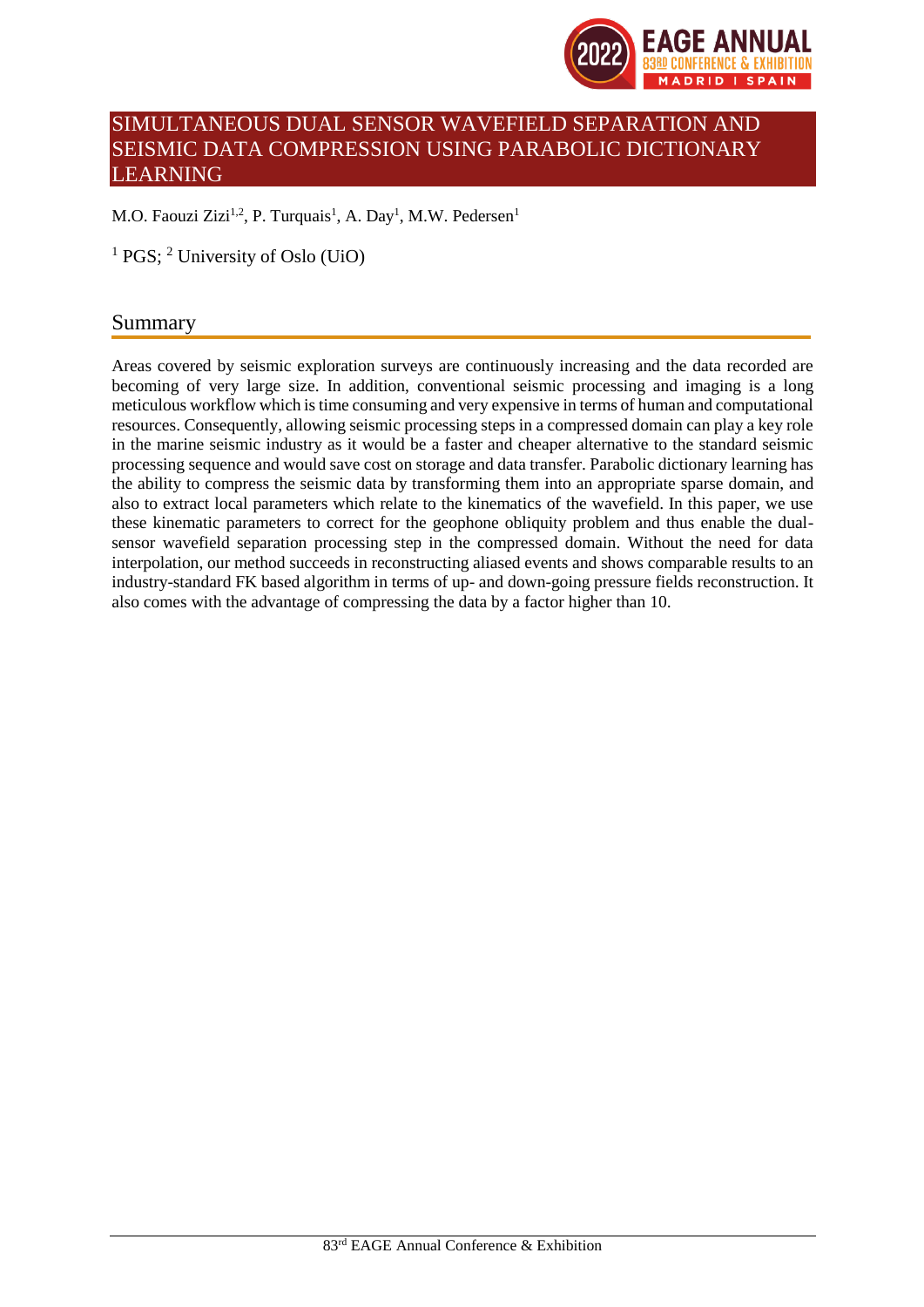

# SIMULTANEOUS DUAL SENSOR WAVEFIELD SEPARATION AND SEISMIC DATA COMPRESSION USING PARABOLIC DICTIONARY LEARNING

M.O. Faouzi Zizi<sup>1,2</sup>, P. Turquais<sup>1</sup>, A. Day<sup>1</sup>, M.W. Pedersen<sup>1</sup>

<sup>1</sup> PGS; <sup>2</sup> University of Oslo (UiO)

## Summary

Areas covered by seismic exploration surveys are continuously increasing and the data recorded are becoming of very large size. In addition, conventional seismic processing and imaging is a long meticulous workflow which is time consuming and very expensive in terms of human and computational resources. Consequently, allowing seismic processing steps in a compressed domain can play a key role in the marine seismic industry as it would be a faster and cheaper alternative to the standard seismic processing sequence and would save cost on storage and data transfer. Parabolic dictionary learning has the ability to compress the seismic data by transforming them into an appropriate sparse domain, and also to extract local parameters which relate to the kinematics of the wavefield. In this paper, we use these kinematic parameters to correct for the geophone obliquity problem and thus enable the dualsensor wavefield separation processing step in the compressed domain. Without the need for data interpolation, our method succeeds in reconstructing aliased events and shows comparable results to an industry-standard FK based algorithm in terms of up- and down-going pressure fields reconstruction. It also comes with the advantage of compressing the data by a factor higher than 10.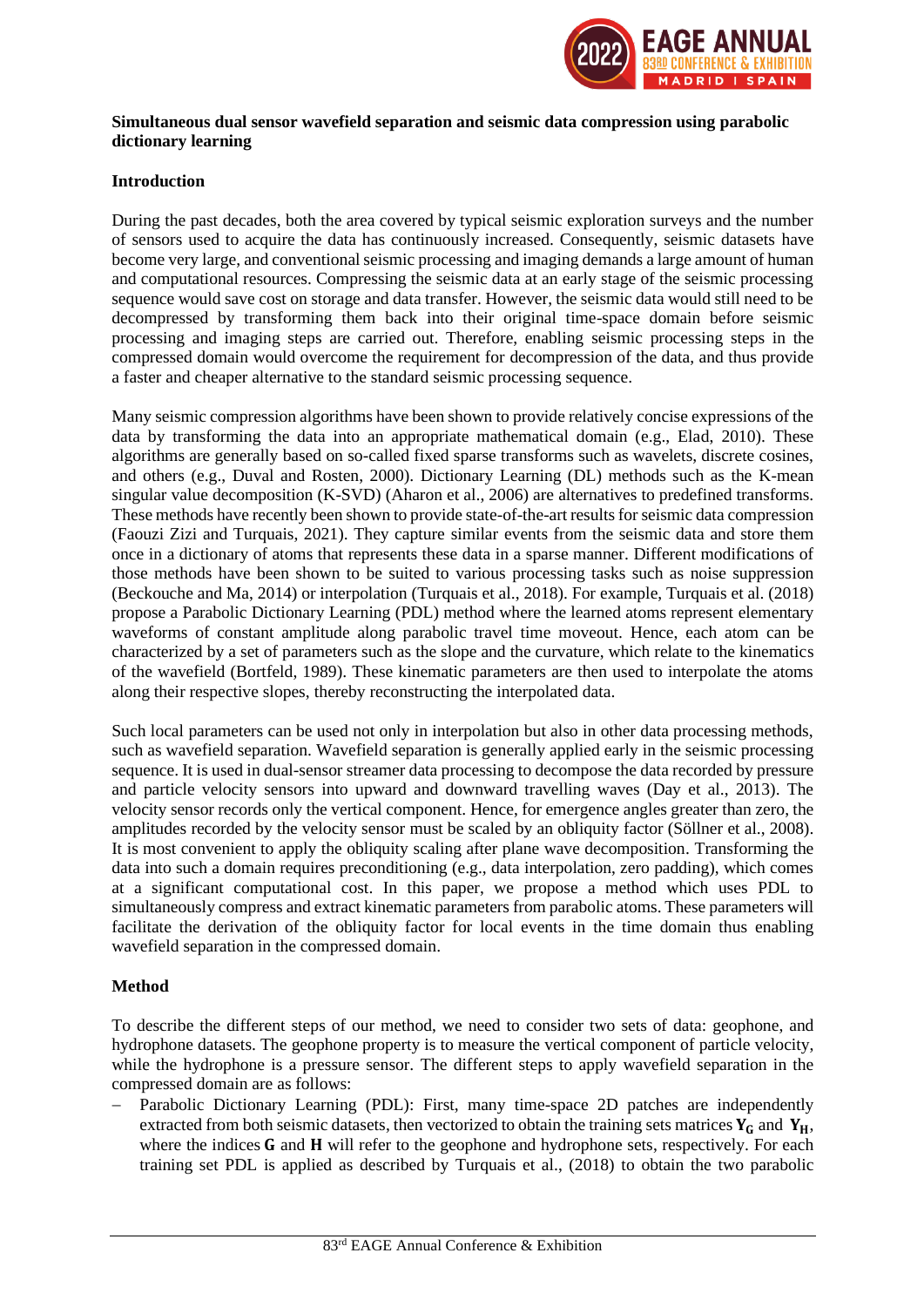

## **Simultaneous dual sensor wavefield separation and seismic data compression using parabolic dictionary learning**

## **Introduction**

During the past decades, both the area covered by typical seismic exploration surveys and the number of sensors used to acquire the data has continuously increased. Consequently, seismic datasets have become very large, and conventional seismic processing and imaging demands a large amount of human and computational resources. Compressing the seismic data at an early stage of the seismic processing sequence would save cost on storage and data transfer. However, the seismic data would still need to be decompressed by transforming them back into their original time-space domain before seismic processing and imaging steps are carried out. Therefore, enabling seismic processing steps in the compressed domain would overcome the requirement for decompression of the data, and thus provide a faster and cheaper alternative to the standard seismic processing sequence.

Many seismic compression algorithms have been shown to provide relatively concise expressions of the data by transforming the data into an appropriate mathematical domain (e.g., Elad, 2010). These algorithms are generally based on so-called fixed sparse transforms such as wavelets, discrete cosines, and others (e.g., Duval and Rosten, 2000). Dictionary Learning (DL) methods such as the K-mean singular value decomposition (K-SVD) (Aharon et al., 2006) are alternatives to predefined transforms. These methods have recently been shown to provide state-of-the-art results for seismic data compression (Faouzi Zizi and Turquais, 2021). They capture similar events from the seismic data and store them once in a dictionary of atoms that represents these data in a sparse manner. Different modifications of those methods have been shown to be suited to various processing tasks such as noise suppression (Beckouche and Ma, 2014) or interpolation (Turquais et al., 2018). For example, Turquais et al. (2018) propose a Parabolic Dictionary Learning (PDL) method where the learned atoms represent elementary waveforms of constant amplitude along parabolic travel time moveout. Hence, each atom can be characterized by a set of parameters such as the slope and the curvature, which relate to the kinematics of the wavefield (Bortfeld, 1989). These kinematic parameters are then used to interpolate the atoms along their respective slopes, thereby reconstructing the interpolated data.

Such local parameters can be used not only in interpolation but also in other data processing methods, such as wavefield separation. Wavefield separation is generally applied early in the seismic processing sequence. It is used in dual-sensor streamer data processing to decompose the data recorded by pressure and particle velocity sensors into upward and downward travelling waves (Day et al., 2013). The velocity sensor records only the vertical component. Hence, for emergence angles greater than zero, the amplitudes recorded by the velocity sensor must be scaled by an obliquity factor (Söllner et al., 2008). It is most convenient to apply the obliquity scaling after plane wave decomposition. Transforming the data into such a domain requires preconditioning (e.g., data interpolation, zero padding), which comes at a significant computational cost. In this paper, we propose a method which uses PDL to simultaneously compress and extract kinematic parameters from parabolic atoms. These parameters will facilitate the derivation of the obliquity factor for local events in the time domain thus enabling wavefield separation in the compressed domain.

## **Method**

To describe the different steps of our method, we need to consider two sets of data: geophone, and hydrophone datasets. The geophone property is to measure the vertical component of particle velocity, while the hydrophone is a pressure sensor. The different steps to apply wavefield separation in the compressed domain are as follows:

Parabolic Dictionary Learning (PDL): First, many time-space 2D patches are independently extracted from both seismic datasets, then vectorized to obtain the training sets matrices  $Y_G$  and  $Y_H$ , where the indices  **and**  $**H**$  **will refer to the geophone and hydrophone sets, respectively. For each** training set PDL is applied as described by Turquais et al., (2018) to obtain the two parabolic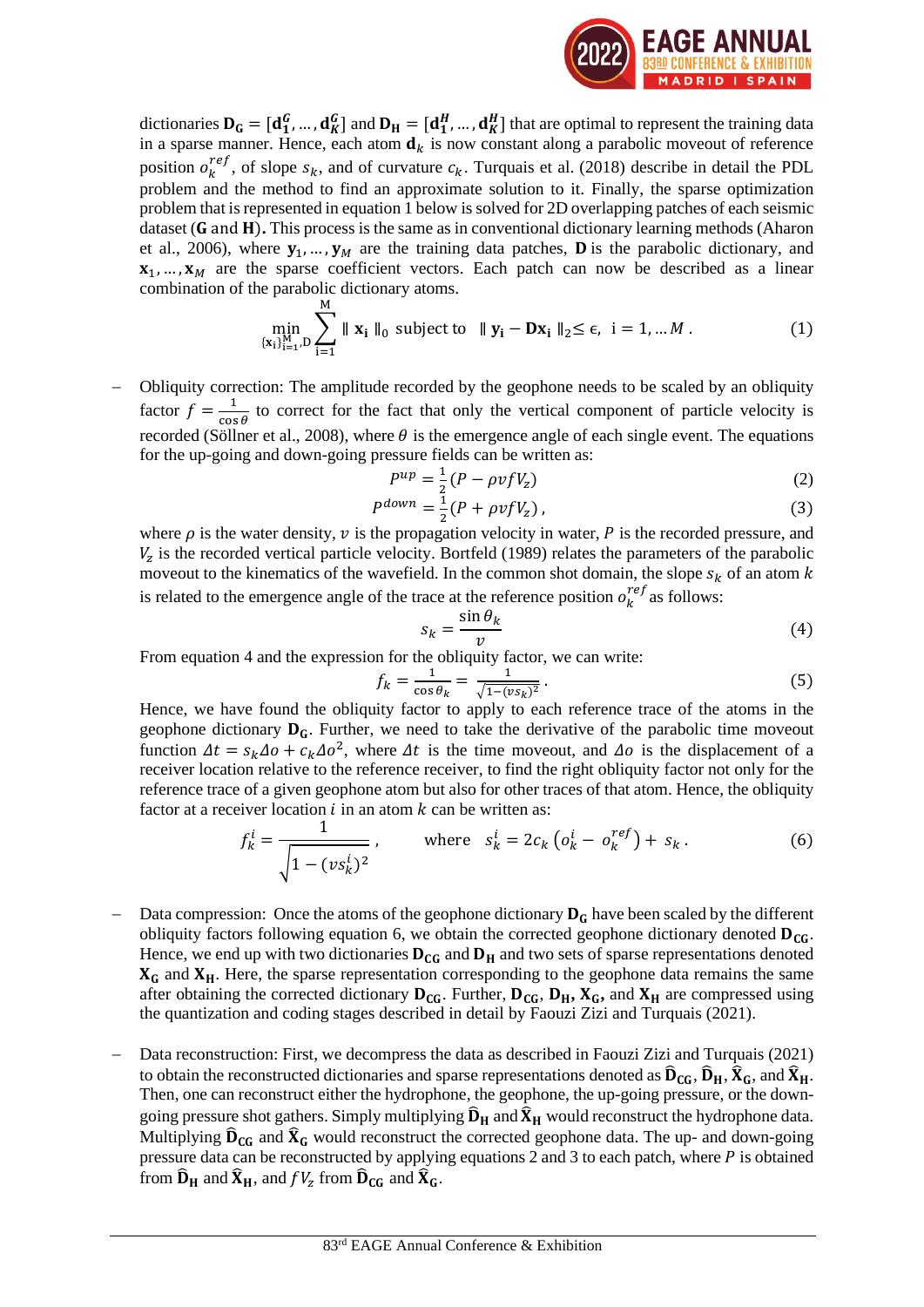

dictionaries  $D_G = [d_1^G, ..., d_K^G]$  and  $D_H = [d_1^H, ..., d_K^H]$  that are optimal to represent the training data in a sparse manner. Hence, each atom  $\mathbf{d}_k$  is now constant along a parabolic moveout of reference position  $o_k^{ref}$ , of slope  $s_k$ , and of curvature  $c_k$ . Turquais et al. (2018) describe in detail the PDL problem and the method to find an approximate solution to it. Finally, the sparse optimization problem that is represented in equation 1 below is solved for 2D overlapping patches of each seismic dataset (G and H). This process is the same as in conventional dictionary learning methods (Aharon et al., 2006), where  $y_1, ..., y_M$  are the training data patches, **D** is the parabolic dictionary, and  ${\bf x}_1, \dots, {\bf x}_M$  are the sparse coefficient vectors. Each patch can now be described as a linear combination of the parabolic dictionary atoms.

$$
\min_{\{x_i\}_{i=1}^M, D} \sum_{i=1}^M \|x_i\|_0 \text{ subject to } \|y_i - Dx_i\|_2 \le \epsilon, \ i = 1, \dots M. \tag{1}
$$

Obliquity correction: The amplitude recorded by the geophone needs to be scaled by an obliquity factor  $f = \frac{1}{\cos \theta}$  $\frac{1}{\cos \theta}$  to correct for the fact that only the vertical component of particle velocity is recorded (Söllner et al., 2008), where  $\theta$  is the emergence angle of each single event. The equations for the up-going and down-going pressure fields can be written as:

$$
P^{up} = \frac{1}{2}(P - \rho v f V_z) \tag{2}
$$

$$
P^{down} = \frac{1}{2} (P + \rho v f V_z), \tag{3}
$$

where  $\rho$  is the water density,  $\nu$  is the propagation velocity in water,  $P$  is the recorded pressure, and  $V<sub>z</sub>$  is the recorded vertical particle velocity. Bortfeld (1989) relates the parameters of the parabolic moveout to the kinematics of the wavefield. In the common shot domain, the slope  $s_k$  of an atom k is related to the emergence angle of the trace at the reference position  $o_k^{ref}$  as follows:

$$
s_k = \frac{\sin \theta_k}{v} \tag{4}
$$

From equation 4 and the expression for the obliquity factor, we can write:

$$
f_k = \frac{1}{\cos \theta_k} = \frac{1}{\sqrt{1 - (vs_k)^2}}.
$$
\n<sup>(5)</sup>

Hence, we have found the obliquity factor to apply to each reference trace of the atoms in the geophone dictionary  $D_G$ . Further, we need to take the derivative of the parabolic time moveout function  $\Delta t = s_k \Delta o + c_k \Delta o^2$ , where  $\Delta t$  is the time moveout, and  $\Delta o$  is the displacement of a receiver location relative to the reference receiver, to find the right obliquity factor not only for the reference trace of a given geophone atom but also for other traces of that atom. Hence, the obliquity factor at a receiver location  $i$  in an atom  $k$  can be written as:

$$
f_k^i = \frac{1}{\sqrt{1 - (vs_k^i)^2}}, \quad \text{where} \quad s_k^i = 2c_k \left( o_k^i - o_k^{ref} \right) + s_k. \tag{6}
$$

- Data compression: Once the atoms of the geophone dictionary  $D_G$  have been scaled by the different obliquity factors following equation 6, we obtain the corrected geophone dictionary denoted  $D_{CG}$ . Hence, we end up with two dictionaries  $D_{CG}$  and  $D_H$  and two sets of sparse representations denoted  $X_G$  and  $X_H$ . Here, the sparse representation corresponding to the geophone data remains the same after obtaining the corrected dictionary  $D_{CG}$ . Further,  $D_{CG}$ ,  $D_H$ ,  $X_G$ , and  $X_H$  are compressed using the quantization and coding stages described in detail by Faouzi Zizi and Turquais (2021).
- − Data reconstruction: First, we decompress the data as described in Faouzi Zizi and Turquais (2021) to obtain the reconstructed dictionaries and sparse representations denoted as  $\hat{D}_{CG}$ ,  $\hat{D}_H$ ,  $\hat{X}_G$ , and  $\hat{X}_H$ . Then, one can reconstruct either the hydrophone, the geophone, the up-going pressure, or the downgoing pressure shot gathers. Simply multiplying  $\hat{D}_H$  and  $\hat{X}_H$  would reconstruct the hydrophone data. Multiplying  $\hat{D}_{CG}$  and  $\hat{X}_{G}$  would reconstruct the corrected geophone data. The up- and down-going pressure data can be reconstructed by applying equations 2 and 3 to each patch, where  $P$  is obtained from  $\widehat{\mathbf{D}}_{\mathbf{H}}$  and  $\widehat{\mathbf{X}}_{\mathbf{H}}$ , and  $fV_{\mathrm{z}}$  from  $\widehat{\mathbf{D}}_{\mathbf{CG}}$  and  $\widehat{\mathbf{X}}_{\mathbf{G}}$ .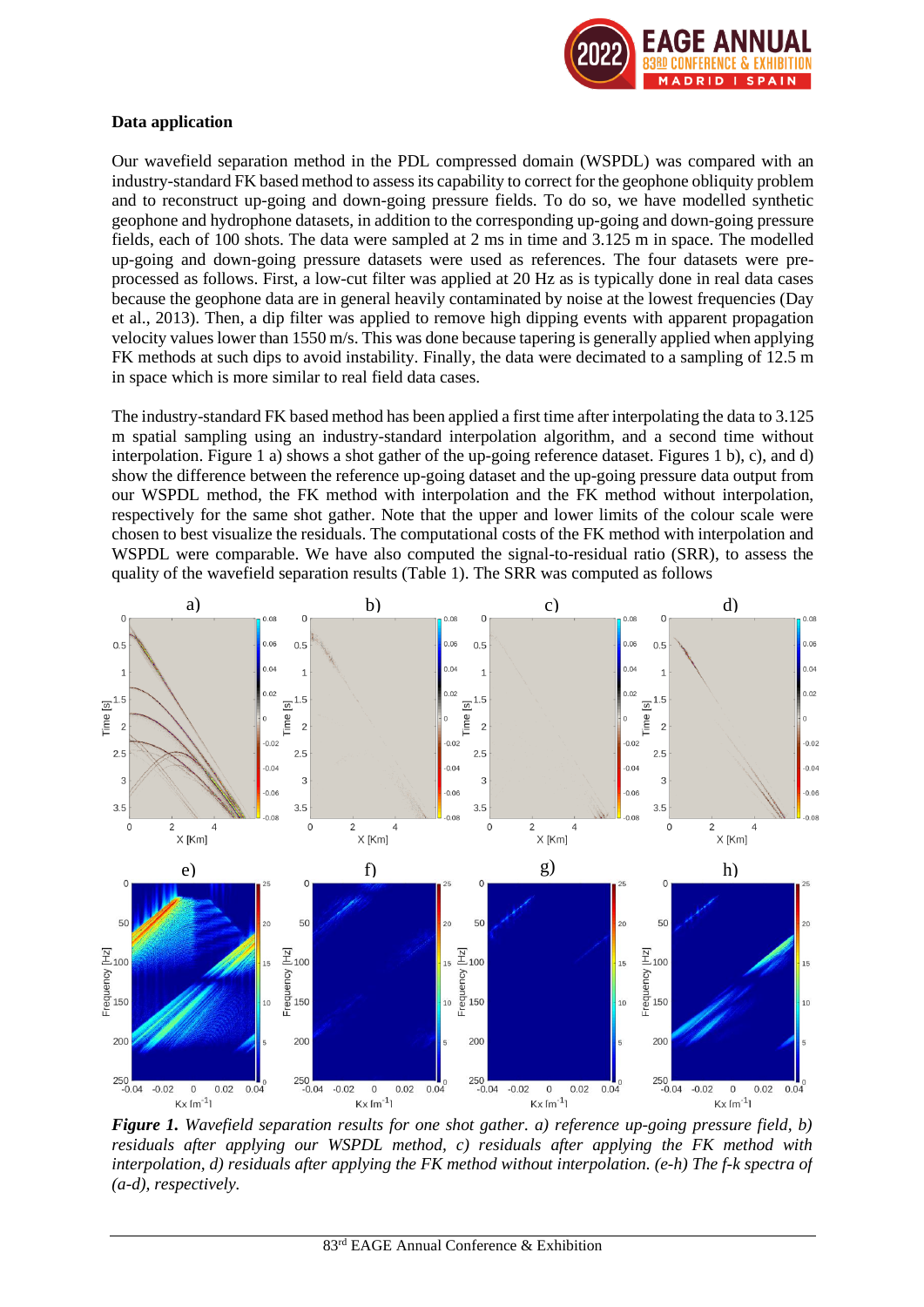

## **Data application**

Our wavefield separation method in the PDL compressed domain (WSPDL) was compared with an industry-standard FK based method to assess its capability to correct for the geophone obliquity problem and to reconstruct up-going and down-going pressure fields. To do so, we have modelled synthetic geophone and hydrophone datasets, in addition to the corresponding up-going and down-going pressure fields, each of 100 shots. The data were sampled at 2 ms in time and 3.125 m in space. The modelled up-going and down-going pressure datasets were used as references. The four datasets were preprocessed as follows. First, a low-cut filter was applied at 20 Hz as is typically done in real data cases because the geophone data are in general heavily contaminated by noise at the lowest frequencies (Day et al., 2013). Then, a dip filter was applied to remove high dipping events with apparent propagation velocity valueslower than 1550 m/s. This was done because tapering is generally applied when applying FK methods at such dips to avoid instability. Finally, the data were decimated to a sampling of 12.5 m in space which is more similar to real field data cases.

The industry-standard FK based method has been applied a first time after interpolating the data to 3.125 m spatial sampling using an industry-standard interpolation algorithm, and a second time without interpolation. Figure 1 a) shows a shot gather of the up-going reference dataset. Figures 1 b), c), and d) show the difference between the reference up-going dataset and the up-going pressure data output from our WSPDL method, the FK method with interpolation and the FK method without interpolation, respectively for the same shot gather. Note that the upper and lower limits of the colour scale were chosen to best visualize the residuals. The computational costs of the FK method with interpolation and WSPDL were comparable. We have also computed the signal-to-residual ratio (SRR), to assess the quality of the wavefield separation results (Table 1). The SRR was computed as follows



*Figure 1. Wavefield separation results for one shot gather. a) reference up-going pressure field, b) residuals after applying our WSPDL method, c) residuals after applying the FK method with interpolation, d) residuals after applying the FK method without interpolation. (e-h) The f-k spectra of (a-d), respectively.*